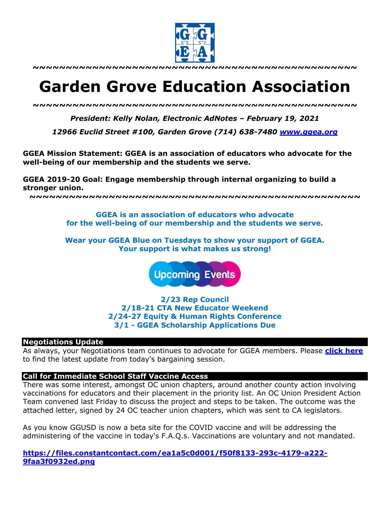

**~~~~~~~~~~~~~~~~~~~~~~~~~~~~~~~~~~~~~~~~~~~~~~~~~**

# **Garden Grove Education Association**

*~~~~~~~~~~~~~~~~~~~~~~~~~~~~~~~~~~~~~~~~~~~~~~~~~*

*President: Kelly Nolan, Electronic AdNotes – February 19, 2021*

*12966 Euclid Street #100, Garden Grove (714) 638-7480 www.ggea.org*

**GGEA Mission Statement: GGEA is an association of educators who advocate for the well-being of our membership and the students we serve.** 

**GGEA 2019-20 Goal: Engage membership through internal organizing to build a stronger union.**

**~~~~~~~~~~~~~~~~~~~~~~~~~~~~~~~~~~~~~~~~~~~~~~~~~~**

**GGEA is an association of educators who advocate for the well-being of our membership and the students we serve.**

**Wear your GGEA Blue on Tuesdays to show your support of GGEA. Your support is what makes us strong!**

**Upcoming Events** 

**2/23 Rep Council 2/18-21 CTA New Educator Weekend 2/24-27 Equity & Human Rights Conference 3/1 - GGEA Scholarship Applications Due**

#### **Negotiations Update**

As always, your Negotiations team continues to advocate for GGEA members. Please **click here** to find the latest update from today's bargaining session.

#### **Call for Immediate School Staff Vaccine Access**

There was some interest, amongst OC union chapters, around another county action involving vaccinations for educators and their placement in the priority list. An OC Union President Action Team convened last Friday to discuss the project and steps to be taken. The outcome was the attached letter, signed by 24 OC teacher union chapters, which was sent to CA legislators.

As you know GGUSD is now a beta site for the COVID vaccine and will be addressing the administering of the vaccine in today's F.A.Q.s. Vaccinations are voluntary and not mandated.

**https://files.constantcontact.com/ea1a5c0d001/f50f8133-293c-4179-a222- 9faa3f0932ed.png**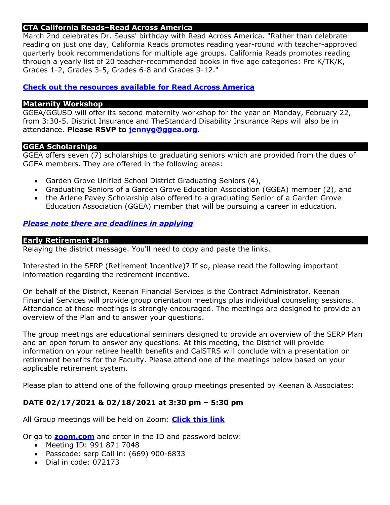## **CTA California Reads–Read Across America**

March 2nd celebrates Dr. Seuss' birthday with Read Across America. "Rather than celebrate reading on just one day, California Reads promotes reading year-round with teacher-approved quarterly book recommendations for multiple age groups. California Reads promotes reading through a yearly list of 20 teacher-recommended books in five age categories: Pre K/TK/K, Grades 1-2, Grades 3-5, Grades 6-8 and Grades 9-12."

## **Check out the resources available for Read Across America**

#### **Maternity Workshop**

GGEA/GGUSD will offer its second maternity workshop for the year on Monday, February 22, from 3:30-5. District Insurance and TheStandard Disability Insurance Reps will also be in attendance. **Please RSVP to jennyg@ggea.org.**

#### **GGEA Scholarships**

GGEA offers seven (7) scholarships to graduating seniors which are provided from the dues of GGEA members. They are offered in the following areas:

- Garden Grove Unified School District Graduating Seniors (4),
- Graduating Seniors of a Garden Grove Education Association (GGEA) member (2), and
- the Arlene Pavey Scholarship also offered to a graduating Senior of a Garden Grove Education Association (GGEA) member that will be pursuing a career in education.

## *Please note there are deadlines in applying*

#### **Early Retirement Plan**

Relaying the district message. You'll need to copy and paste the links.

Interested in the SERP (Retirement Incentive)? If so, please read the following important information regarding the retirement incentive.

On behalf of the District, Keenan Financial Services is the Contract Administrator. Keenan Financial Services will provide group orientation meetings plus individual counseling sessions. Attendance at these meetings is strongly encouraged. The meetings are designed to provide an overview of the Plan and to answer your questions.

The group meetings are educational seminars designed to provide an overview of the SERP Plan and an open forum to answer any questions. At this meeting, the District will provide information on your retiree health benefits and CalSTRS will conclude with a presentation on retirement benefits for the Faculty. Please attend one of the meetings below based on your applicable retirement system.

Please plan to attend one of the following group meetings presented by Keenan & Associates:

## **DATE 02/17/2021 & 02/18/2021 at 3:30 pm – 5:30 pm**

All Group meetings will be held on Zoom: **Click this link**

Or go to **zoom.com** and enter in the ID and password below:

- Meeting ID: 991 871 7048
- Passcode: serp Call in: (669) 900-6833
- Dial in code: 072173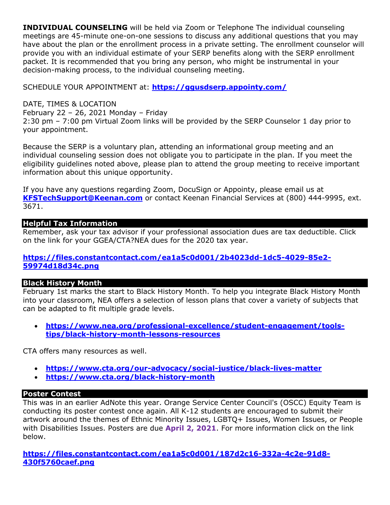**INDIVIDUAL COUNSELING** will be held via Zoom or Telephone The individual counseling meetings are 45-minute one-on-one sessions to discuss any additional questions that you may have about the plan or the enrollment process in a private setting. The enrollment counselor will provide you with an individual estimate of your SERP benefits along with the SERP enrollment packet. It is recommended that you bring any person, who might be instrumental in your decision-making process, to the individual counseling meeting.

SCHEDULE YOUR APPOINTMENT at: **https://ggusdserp.appointy.com/**

DATE, TIMES & LOCATION

February 22 – 26, 2021 Monday – Friday 2:30 pm – 7:00 pm Virtual Zoom links will be provided by the SERP Counselor 1 day prior to

your appointment.

Because the SERP is a voluntary plan, attending an informational group meeting and an individual counseling session does not obligate you to participate in the plan. If you meet the eligibility guidelines noted above, please plan to attend the group meeting to receive important information about this unique opportunity.

If you have any questions regarding Zoom, DocuSign or Appointy, please email us at **KFSTechSupport@Keenan.com** or contact Keenan Financial Services at (800) 444-9995, ext. 3671.

# **Helpful Tax Information**

Remember, ask your tax advisor if your professional association dues are tax deductible. Click on the link for your GGEA/CTA?NEA dues for the 2020 tax year.

## **https://files.constantcontact.com/ea1a5c0d001/2b4023dd-1dc5-4029-85e2- 59974d18d34c.png**

## **Black History Month**

February 1st marks the start to Black History Month. To help you integrate Black History Month into your classroom, NEA offers a selection of lesson plans that cover a variety of subjects that can be adapted to fit multiple grade levels.

• **https://www.nea.org/professional-excellence/student-engagement/toolstips/black-history-month-lessons-resources**

CTA offers many resources as well.

- **https://www.cta.org/our-advocacy/social-justice/black-lives-matter**
- **https://www.cta.org/black-history-month**

# **Poster Contest**

This was in an earlier AdNote this year. Orange Service Center Council's (OSCC) Equity Team is conducting its poster contest once again. All K-12 students are encouraged to submit their artwork around the themes of Ethnic Minority Issues, LGBTQ+ Issues, Women Issues, or People with Disabilities Issues. Posters are due **April 2, 2021**. For more information click on the link below.

**https://files.constantcontact.com/ea1a5c0d001/187d2c16-332a-4c2e-91d8- 430f5760caef.png**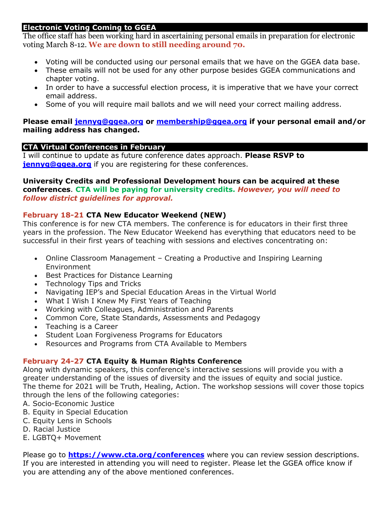## **Electronic Voting Coming to GGEA**

The office staff has been working hard in ascertaining personal emails in preparation for electronic voting March 8-12. **We are down to still needing around 70.** 

- Voting will be conducted using our personal emails that we have on the GGEA data base.
- These emails will not be used for any other purpose besides GGEA communications and chapter voting.
- In order to have a successful election process, it is imperative that we have your correct email address.
- Some of you will require mail ballots and we will need your correct mailing address.

#### **Please email jennyg@ggea.org or membership@ggea.org if your personal email and/or mailing address has changed.**

## **CTA Virtual Conferences in February**

I will continue to update as future conference dates approach. **Please RSVP to jennyg@ggea.org** if you are registering for these conferences.

## **University Credits and Professional Development hours can be acquired at these conferences**. **CTA will be paying for university credits.** *However, you will need to follow district guidelines for approval.*

## **February 18-21 CTA New Educator Weekend (NEW)**

This conference is for new CTA members. The conference is for educators in their first three years in the profession. The New Educator Weekend has everything that educators need to be successful in their first years of teaching with sessions and electives concentrating on:

- Online Classroom Management Creating a Productive and Inspiring Learning Environment
- Best Practices for Distance Learning
- Technology Tips and Tricks
- Navigating IEP's and Special Education Areas in the Virtual World
- What I Wish I Knew My First Years of Teaching
- Working with Colleagues, Administration and Parents
- Common Core, State Standards, Assessments and Pedagogy
- Teaching is a Career
- Student Loan Forgiveness Programs for Educators
- Resources and Programs from CTA Available to Members

# **February 24-27 CTA Equity & Human Rights Conference**

Along with dynamic speakers, this conference's interactive sessions will provide you with a greater understanding of the issues of diversity and the issues of equity and social justice. The theme for 2021 will be Truth, Healing, Action. The workshop sessions will cover those topics through the lens of the following categories:

- A. Socio-Economic Justice
- B. Equity in Special Education
- C. Equity Lens in Schools
- D. Racial Justice
- E. LGBTQ+ Movement

Please go to **https://www.cta.org/conferences** where you can review session descriptions. If you are interested in attending you will need to register. Please let the GGEA office know if you are attending any of the above mentioned conferences.